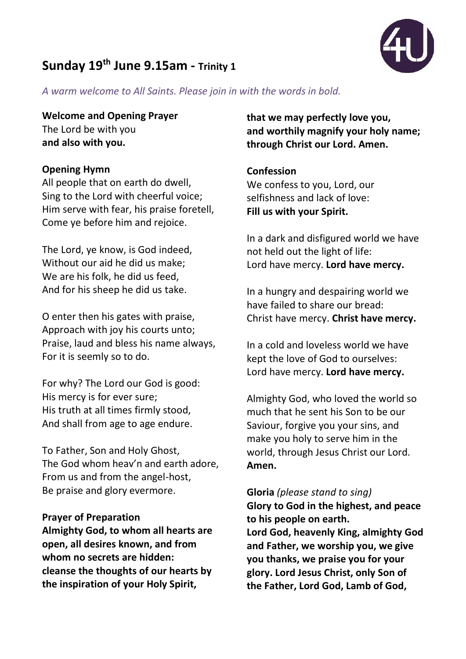# **Sunday 19th June 9.15am - Trinity 1**



*A warm welcome to All Saints. Please join in with the words in bold.*

# **Welcome and Opening Prayer**

The Lord be with you **and also with you.**

# **Opening Hymn**

All people that on earth do dwell, Sing to the Lord with cheerful voice; Him serve with fear, his praise foretell, Come ye before him and rejoice.

The Lord, ye know, is God indeed, Without our aid he did us make; We are his folk, he did us feed, And for his sheep he did us take.

O enter then his gates with praise, Approach with joy his courts unto; Praise, laud and bless his name always, For it is seemly so to do.

For why? The Lord our God is good: His mercy is for ever sure; His truth at all times firmly stood, And shall from age to age endure.

To Father, Son and Holy Ghost, The God whom heav'n and earth adore, From us and from the angel-host, Be praise and glory evermore.

# **Prayer of Preparation**

**Almighty God, to whom all hearts are open, all desires known, and from whom no secrets are hidden: cleanse the thoughts of our hearts by the inspiration of your Holy Spirit,** 

**that we may perfectly love you, and worthily magnify your holy name; through Christ our Lord. Amen.**

# **Confession**

We confess to you, Lord, our selfishness and lack of love: **Fill us with your Spirit.**

In a dark and disfigured world we have not held out the light of life: Lord have mercy. **Lord have mercy.**

In a hungry and despairing world we have failed to share our bread: Christ have mercy. **Christ have mercy.**

In a cold and loveless world we have kept the love of God to ourselves: Lord have mercy. **Lord have mercy.**

Almighty God, who loved the world so much that he sent his Son to be our Saviour, forgive you your sins, and make you holy to serve him in the world, through Jesus Christ our Lord. **Amen.**

**Gloria** *(please stand to sing)* **Glory to God in the highest, and peace to his people on earth. Lord God, heavenly King, almighty God and Father, we worship you, we give you thanks, we praise you for your glory. Lord Jesus Christ, only Son of the Father, Lord God, Lamb of God,**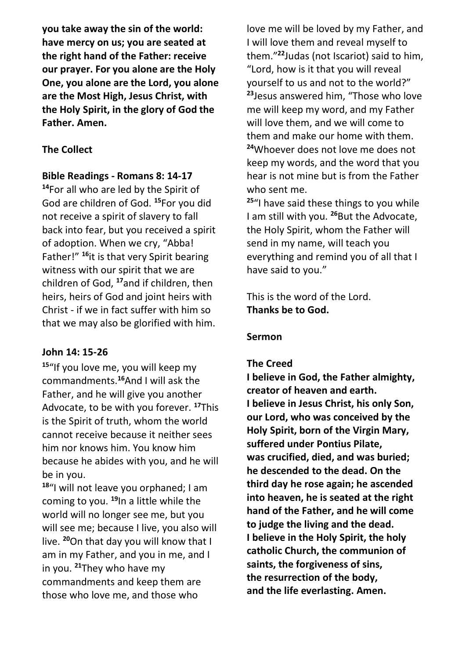**you take away the sin of the world: have mercy on us; you are seated at the right hand of the Father: receive our prayer. For you alone are the Holy One, you alone are the Lord, you alone are the Most High, Jesus Christ, with the Holy Spirit, in the glory of God the Father. Amen.**

# **The Collect**

# **Bible Readings - Romans 8: 14-17**

**<sup>14</sup>**For all who are led by the Spirit of God are children of God. **<sup>15</sup>**For you did not receive a spirit of slavery to fall back into fear, but you received a spirit of adoption. When we cry, "Abba! Father!" **<sup>16</sup>**it is that very Spirit bearing witness with our spirit that we are children of God, **<sup>17</sup>**and if children, then heirs, heirs of God and joint heirs with Christ - if we in fact suffer with him so that we may also be glorified with him.

# **John 14: 15-26**

**<sup>15</sup>**"If you love me, you will keep my commandments.**<sup>16</sup>**And I will ask the Father, and he will give you another Advocate, to be with you forever. **<sup>17</sup>**This is the Spirit of truth, whom the world cannot receive because it neither sees him nor knows him. You know him because he abides with you, and he will be in you.

**<sup>18</sup>**"I will not leave you orphaned; I am coming to you. **<sup>19</sup>**In a little while the world will no longer see me, but you will see me; because I live, you also will live. **<sup>20</sup>**On that day you will know that I am in my Father, and you in me, and I in you. **<sup>21</sup>**They who have my commandments and keep them are those who love me, and those who

love me will be loved by my Father, and I will love them and reveal myself to them."**<sup>22</sup>**Judas (not Iscariot) said to him, "Lord, how is it that you will reveal yourself to us and not to the world?" **<sup>23</sup>**Jesus answered him, "Those who love me will keep my word, and my Father will love them, and we will come to them and make our home with them. **<sup>24</sup>**Whoever does not love me does not keep my words, and the word that you hear is not mine but is from the Father who sent me.

**<sup>25</sup>**"I have said these things to you while I am still with you. **<sup>26</sup>**But the Advocate, the Holy Spirit, whom the Father will send in my name, will teach you everything and remind you of all that I have said to you."

This is the word of the Lord. **Thanks be to God.**

## **Sermon**

## **The Creed**

**I believe in God, the Father almighty, creator of heaven and earth. I believe in Jesus Christ, his only Son, our Lord, who was conceived by the Holy Spirit, born of the Virgin Mary, suffered under Pontius Pilate, was crucified, died, and was buried; he descended to the dead. On the third day he rose again; he ascended into heaven, he is seated at the right hand of the Father, and he will come to judge the living and the dead. I believe in the Holy Spirit, the holy catholic Church, the communion of saints, the forgiveness of sins, the resurrection of the body, and the life everlasting. Amen.**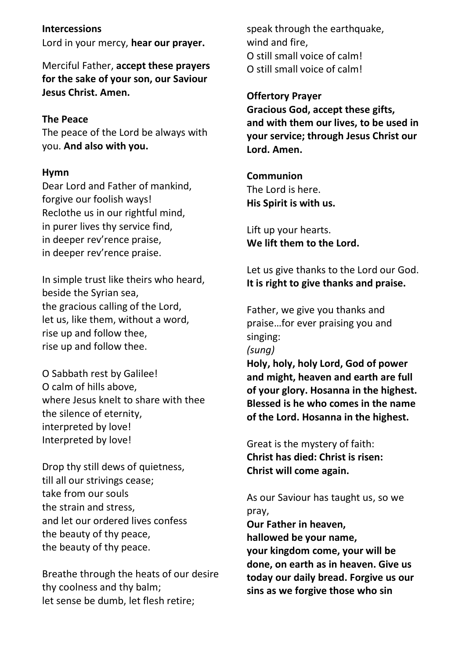## **Intercessions**

Lord in your mercy, **hear our prayer.**

Merciful Father, **accept these prayers for the sake of your son, our Saviour Jesus Christ. Amen.**

## **The Peace**

The peace of the Lord be always with you. **And also with you.**

#### **Hymn**

Dear Lord and Father of mankind, forgive our foolish ways! Reclothe us in our rightful mind, in purer lives thy service find, in deeper rev'rence praise, in deeper rev'rence praise.

In simple trust like theirs who heard, beside the Syrian sea, the gracious calling of the Lord, let us, like them, without a word, rise up and follow thee, rise up and follow thee.

O Sabbath rest by Galilee! O calm of hills above, where Jesus knelt to share with thee the silence of eternity, interpreted by love! Interpreted by love!

Drop thy still dews of quietness, till all our strivings cease; take from our souls the strain and stress, and let our ordered lives confess the beauty of thy peace, the beauty of thy peace.

Breathe through the heats of our desire thy coolness and thy balm; let sense be dumb, let flesh retire;

speak through the earthquake, wind and fire, O still small voice of calm! O still small voice of calm!

## **Offertory Prayer**

**Gracious God, accept these gifts, and with them our lives, to be used in your service; through Jesus Christ our Lord. Amen.** 

**Communion** The Lord is here. **His Spirit is with us.**

Lift up your hearts. **We lift them to the Lord.**

Let us give thanks to the Lord our God. **It is right to give thanks and praise.**

Father, we give you thanks and praise…for ever praising you and singing: *(sung)* **Holy, holy, holy Lord, God of power and might, heaven and earth are full of your glory. Hosanna in the highest. Blessed is he who comes in the name of the Lord. Hosanna in the highest.**

Great is the mystery of faith: **Christ has died: Christ is risen: Christ will come again.**

As our Saviour has taught us, so we pray,

**Our Father in heaven, hallowed be your name, your kingdom come, your will be done, on earth as in heaven. Give us today our daily bread. Forgive us our sins as we forgive those who sin**